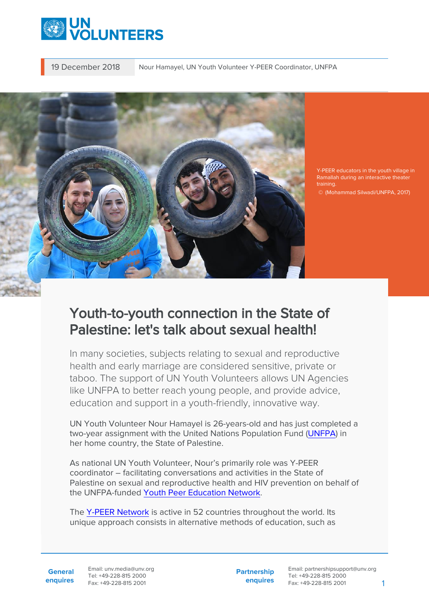

19 December 2018 Nour Hamayel, UN Youth Volunteer Y-PEER Coordinator, UNFPA



Y-PEER educators in the youth village in Ramallah during an interactive theater training.

© (Mohammad Silwadi/UNFPA, 2017)

## Youth-to-youth connection in the State of Palestine: let's talk about sexual health!

In many societies, subjects relating to sexual and reproductive health and early marriage are considered sensitive, private or taboo. The support of UN Youth Volunteers allows UN Agencies like UNFPA to better reach young people, and provide advice, education and support in a youth-friendly, innovative way.

UN Youth Volunteer Nour Hamayel is 26-years-old and has just completed a two-year assignment with the United Nations Population Fund [\(UNFPA](https://palestine.unfpa.org/en)) in her home country, the State of Palestine.

As national UN Youth Volunteer, Nour's primarily role was Y-PEER coordinator – facilitating conversations and activities in the State of Palestine on sexual and reproductive health and HIV prevention on behalf of the UNFPA-funded [Youth Peer Education Network.](http://y-peer.org/Palestine)

The [Y-PEER Network](http://www.y-peer.org/) is active in 52 countries throughout the world. Its unique approach consists in alternative methods of education, such as

**General enquires** Email: unv.media@unv.org Tel: +49-228-815 2000 Fax: +49-228-815 2001

**Partnership enquires**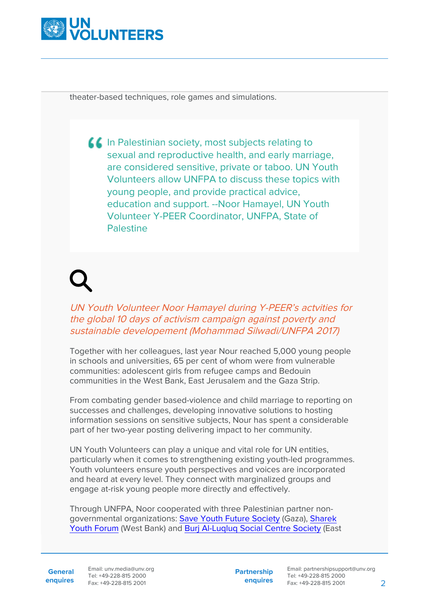

theater-based techniques, role games and simulations.

**In Palestinian society, most subjects relating to** sexual and reproductive health, and early marriage, are considered sensitive, private or taboo. UN Youth Volunteers allow UNFPA to discuss these topics with young people, and provide practical advice, education and support. --Noor Hamayel, UN Youth Volunteer Y-PEER Coordinator, UNFPA, State of Palestine

## UN Youth Volunteer Noor Hamayel during Y-PEER's actvities for the global 10 days of activism campaign against poverty and sustainable developement (Mohammad Silwadi/UNFPA 2017)

Together with her colleagues, last year Nour reached 5,000 young people in schools and universities, 65 per cent of whom were from vulnerable communities: adolescent girls from refugee camps and Bedouin communities in the West Bank, East Jerusalem and the Gaza Strip.

From combating gender based-violence and child marriage to reporting on successes and challenges, developing innovative solutions to hosting information sessions on sensitive subjects, Nour has spent a considerable part of her two-year posting delivering impact to her community.

UN Youth Volunteers can play a unique and vital role for UN entities, particularly when it comes to strengthening existing youth-led programmes. Youth volunteers ensure youth perspectives and voices are incorporated and heard at every level. They connect with marginalized groups and engage at-risk young people more directly and effectively.

Through UNFPA, Noor cooperated with three Palestinian partner nongovernmental organizations: [Save Youth Future Society](https://www.syfpal.org/) (Gaza), [Sharek](http://www.sharek.ps/) [Youth Forum](http://www.sharek.ps/) (West Bank) and [Burj Al-Luqluq Social Centre Society](http://www.burjalluqluq.org/home/) (East

**General**

**enquires** Fax: +49-228-815 2001 Email: unv.media@unv.org Tel: +49-228-815 2000

**Partnership enquires**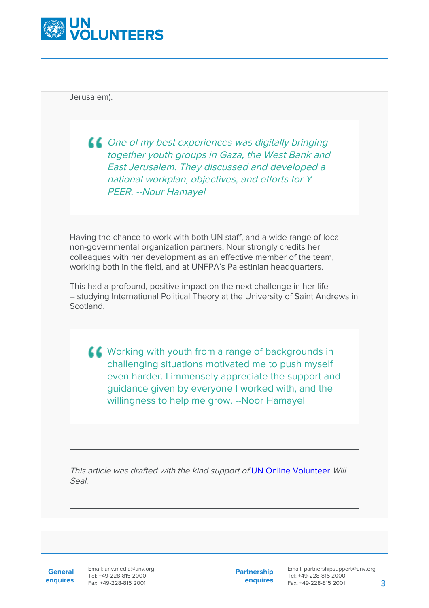

Jerusalem).

 $\triangle$  One of my best experiences was digitally bringing together youth groups in Gaza, the West Bank and East Jerusalem. They discussed and developed a national workplan, objectives, and efforts for Y-PEER. --Nour Hamayel

Having the chance to work with both UN staff, and a wide range of local non-governmental organization partners, Nour strongly credits her colleagues with her development as an effective member of the team, working both in the field, and at UNFPA's Palestinian headquarters.

This had a profound, positive impact on the next challenge in her life – studying International Political Theory at the University of Saint Andrews in Scotland.

K Working with youth from a range of backgrounds in challenging situations motivated me to push myself even harder. I immensely appreciate the support and guidance given by everyone I worked with, and the willingness to help me grow. --Noor Hamayel

This article was drafted with the kind support of [UN Online Volunteer](http://www.onlinevolunteering.org) Will Seal.

**General enquires**

Email: unv.media@unv.org Tel: +49-228-815 2000 Fax: +49-228-815 2001

**Partnership enquires**